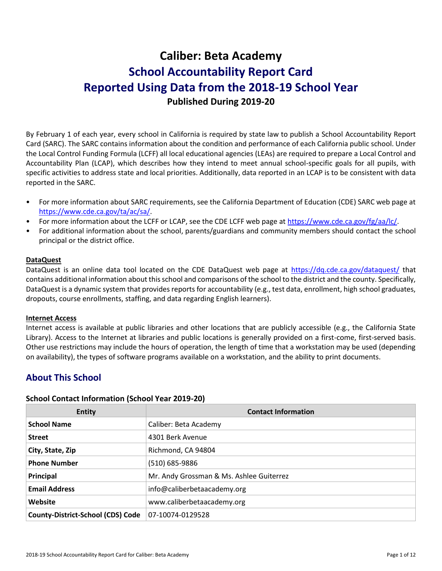# **Caliber: Beta Academy School Accountability Report Card Reported Using Data from the 2018-19 School Year Published During 2019-20**

By February 1 of each year, every school in California is required by state law to publish a School Accountability Report Card (SARC). The SARC contains information about the condition and performance of each California public school. Under the Local Control Funding Formula (LCFF) all local educational agencies (LEAs) are required to prepare a Local Control and Accountability Plan (LCAP), which describes how they intend to meet annual school-specific goals for all pupils, with specific activities to address state and local priorities. Additionally, data reported in an LCAP is to be consistent with data reported in the SARC.

- For more information about SARC requirements, see the California Department of Education (CDE) SARC web page at [https://www.cde.ca.gov/ta/ac/sa/.](https://www.cde.ca.gov/ta/ac/sa/)
- For more information about the LCFF or LCAP, see the CDE LCFF web page at [https://www.cde.ca.gov/fg/aa/lc/.](https://www.cde.ca.gov/fg/aa/lc/)
- For additional information about the school, parents/guardians and community members should contact the school principal or the district office.

#### **DataQuest**

DataQuest is an online data tool located on the CDE DataQuest web page at<https://dq.cde.ca.gov/dataquest/> that contains additional information about this school and comparisons of the school to the district and the county. Specifically, DataQuest is a dynamic system that provides reports for accountability (e.g., test data, enrollment, high school graduates, dropouts, course enrollments, staffing, and data regarding English learners).

#### **Internet Access**

Internet access is available at public libraries and other locations that are publicly accessible (e.g., the California State Library). Access to the Internet at libraries and public locations is generally provided on a first-come, first-served basis. Other use restrictions may include the hours of operation, the length of time that a workstation may be used (depending on availability), the types of software programs available on a workstation, and the ability to print documents.

## **About This School**

#### **School Contact Information (School Year 2019-20)**

| <b>Entity</b>                            | <b>Contact Information</b>               |
|------------------------------------------|------------------------------------------|
| <b>School Name</b>                       | Caliber: Beta Academy                    |
| <b>Street</b>                            | 4301 Berk Avenue                         |
| City, State, Zip                         | Richmond, CA 94804                       |
| <b>Phone Number</b>                      | (510) 685-9886                           |
| Principal                                | Mr. Andy Grossman & Ms. Ashlee Guiterrez |
| <b>Email Address</b>                     | info@caliberbetaacademy.org              |
| Website                                  | www.caliberbetaacademy.org               |
| <b>County-District-School (CDS) Code</b> | 07-10074-0129528                         |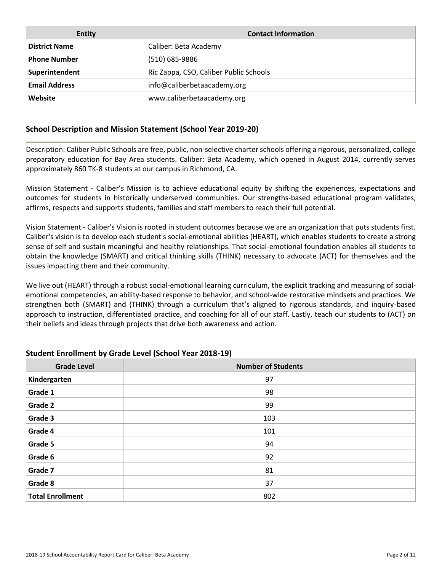| Entity               | <b>Contact Information</b>             |
|----------------------|----------------------------------------|
| <b>District Name</b> | Caliber: Beta Academy                  |
| <b>Phone Number</b>  | (510) 685-9886                         |
| Superintendent       | Ric Zappa, CSO, Caliber Public Schools |
| <b>Email Address</b> | info@caliberbetaacademy.org            |
| Website              | www.caliberbetaacademy.org             |

### **School Description and Mission Statement (School Year 2019-20)**

Description: Caliber Public Schools are free, public, non-selective charter schools offering a rigorous, personalized, college preparatory education for Bay Area students. Caliber: Beta Academy, which opened in August 2014, currently serves approximately 860 TK-8 students at our campus in Richmond, CA.

Mission Statement - Caliber's Mission is to achieve educational equity by shifting the experiences, expectations and outcomes for students in historically underserved communities. Our strengths-based educational program validates, affirms, respects and supports students, families and staff members to reach their full potential.

Vision Statement - Caliber's Vision is rooted in student outcomes because we are an organization that puts students first. Caliber's vision is to develop each student's social-emotional abilities (HEART), which enables students to create a strong sense of self and sustain meaningful and healthy relationships. That social-emotional foundation enables all students to obtain the knowledge (SMART) and critical thinking skills (THINK) necessary to advocate (ACT) for themselves and the issues impacting them and their community.

We live out (HEART) through a robust social-emotional learning curriculum, the explicit tracking and measuring of socialemotional competencies, an ability-based response to behavior, and school-wide restorative mindsets and practices. We strengthen both (SMART) and (THINK) through a curriculum that's aligned to rigorous standards, and inquiry-based approach to instruction, differentiated practice, and coaching for all of our staff. Lastly, teach our students to (ACT) on their beliefs and ideas through projects that drive both awareness and action.

| <b>Grade Level</b>      | <b>Number of Students</b> |
|-------------------------|---------------------------|
| Kindergarten            | 97                        |
| Grade 1                 | 98                        |
| <b>Grade 2</b>          | 99                        |
| Grade 3                 | 103                       |
| Grade 4                 | 101                       |
| Grade 5                 | 94                        |
| Grade 6                 | 92                        |
| Grade 7                 | 81                        |
| Grade 8                 | 37                        |
| <b>Total Enrollment</b> | 802                       |

#### **Student Enrollment by Grade Level (School Year 2018-19)**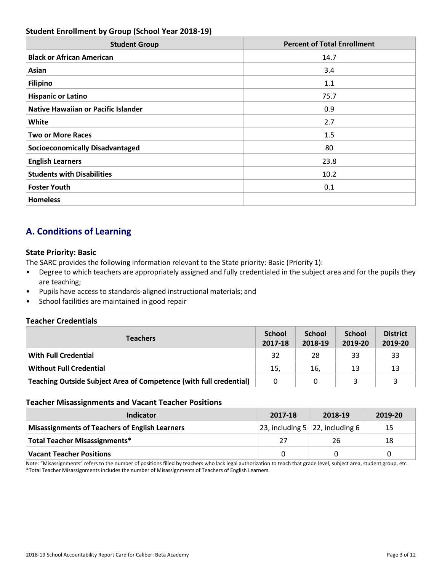### **Student Enrollment by Group (School Year 2018-19)**

| <b>Student Group</b>                       | <b>Percent of Total Enrollment</b> |
|--------------------------------------------|------------------------------------|
| <b>Black or African American</b>           | 14.7                               |
| Asian                                      | 3.4                                |
| <b>Filipino</b>                            | 1.1                                |
| <b>Hispanic or Latino</b>                  | 75.7                               |
| <b>Native Hawaiian or Pacific Islander</b> | 0.9                                |
| White                                      | 2.7                                |
| <b>Two or More Races</b>                   | 1.5                                |
| <b>Socioeconomically Disadvantaged</b>     | 80                                 |
| <b>English Learners</b>                    | 23.8                               |
| <b>Students with Disabilities</b>          | 10.2                               |
| <b>Foster Youth</b>                        | 0.1                                |
| <b>Homeless</b>                            |                                    |

## **A. Conditions of Learning**

### **State Priority: Basic**

The SARC provides the following information relevant to the State priority: Basic (Priority 1):

- Degree to which teachers are appropriately assigned and fully credentialed in the subject area and for the pupils they are teaching;
- Pupils have access to standards-aligned instructional materials; and
- School facilities are maintained in good repair

### **Teacher Credentials**

| <b>Teachers</b>                                                           | <b>School</b><br>2017-18 | <b>School</b><br>2018-19 | <b>School</b><br>2019-20 | <b>District</b><br>2019-20 |
|---------------------------------------------------------------------------|--------------------------|--------------------------|--------------------------|----------------------------|
| <b>With Full Credential</b>                                               | 32                       | 28                       | 33                       | 33                         |
| <b>Without Full Credential</b>                                            | 15,                      | 16,                      | 13                       | 13                         |
| <b>Teaching Outside Subject Area of Competence (with full credential)</b> | 0                        | 0                        |                          |                            |

#### **Teacher Misassignments and Vacant Teacher Positions**

| <b>TCacher Milbabbighthems and Vacant TCacher I Obitions</b> |         |                                                 |         |  |  |  |
|--------------------------------------------------------------|---------|-------------------------------------------------|---------|--|--|--|
| Indicator                                                    | 2017-18 | 2018-19                                         | 2019-20 |  |  |  |
| <b>Misassignments of Teachers of English Learners</b>        |         | 23, including 5   22, including 6 $\frac{1}{2}$ | 15      |  |  |  |
| <b>Total Teacher Misassignments*</b>                         |         | 26                                              | 18      |  |  |  |
| <b>Vacant Teacher Positions</b>                              |         |                                                 |         |  |  |  |

tion to teach that gr<br>lers Note: "Misassignments" refers to the number of positions filled by teachers who lack legal authorization to teach that grade level, subject area, student group, etc.<br>\*Total Teacher Misassignments includes the number of Mis \*Total Teacher Misassignments includes the number of Misassignments of Teachers of English Learners.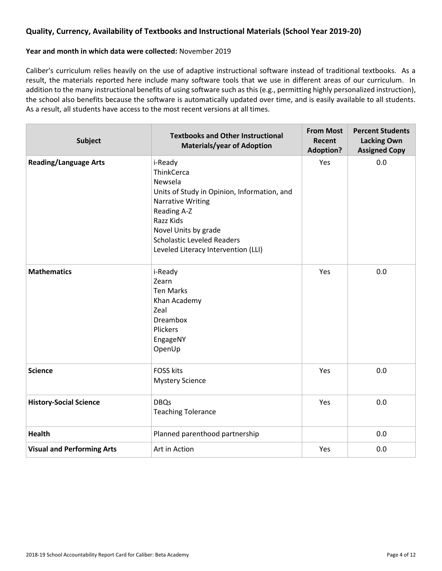### **Quality, Currency, Availability of Textbooks and Instructional Materials (School Year 2019-20)**

#### **Year and month in which data were collected:** November 2019

Caliber's curriculum relies heavily on the use of adaptive instructional software instead of traditional textbooks. As a result, the materials reported here include many software tools that we use in different areas of our curriculum. In addition to the many instructional benefits of using software such as this (e.g., permitting highly personalized instruction), the school also benefits because the software is automatically updated over time, and is easily available to all students. As a result, all students have access to the most recent versions at all times.

| <b>Subject</b>                    | <b>Textbooks and Other Instructional</b><br><b>Materials/year of Adoption</b>                                                                                                                                                               | <b>From Most</b><br>Recent<br><b>Adoption?</b> | <b>Percent Students</b><br><b>Lacking Own</b><br><b>Assigned Copy</b> |  |
|-----------------------------------|---------------------------------------------------------------------------------------------------------------------------------------------------------------------------------------------------------------------------------------------|------------------------------------------------|-----------------------------------------------------------------------|--|
| <b>Reading/Language Arts</b>      | i-Ready<br>ThinkCerca<br>Newsela<br>Units of Study in Opinion, Information, and<br><b>Narrative Writing</b><br>Reading A-Z<br>Razz Kids<br>Novel Units by grade<br><b>Scholastic Leveled Readers</b><br>Leveled Literacy Intervention (LLI) | Yes                                            | 0.0                                                                   |  |
| <b>Mathematics</b>                | i-Ready<br>Zearn<br><b>Ten Marks</b><br>Khan Academy<br>Zeal<br><b>Dreambox</b><br>Plickers<br>EngageNY<br>OpenUp                                                                                                                           | Yes                                            | 0.0                                                                   |  |
| <b>Science</b>                    | <b>FOSS kits</b><br><b>Mystery Science</b>                                                                                                                                                                                                  | Yes                                            | 0.0                                                                   |  |
| <b>History-Social Science</b>     | <b>DBQs</b><br><b>Teaching Tolerance</b>                                                                                                                                                                                                    | Yes                                            | 0.0                                                                   |  |
| <b>Health</b>                     | Planned parenthood partnership                                                                                                                                                                                                              |                                                | 0.0                                                                   |  |
| <b>Visual and Performing Arts</b> | Art in Action                                                                                                                                                                                                                               | Yes                                            | 0.0                                                                   |  |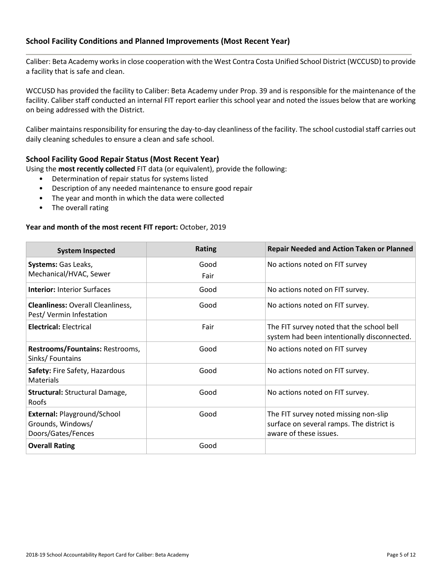### **School Facility Conditions and Planned Improvements (Most Recent Year)**

Caliber: Beta Academy works in close cooperation with the West Contra Costa Unified School District (WCCUSD) to provide a facility that is safe and clean.

WCCUSD has provided the facility to Caliber: Beta Academy under Prop. 39 and is responsible for the maintenance of the facility. Caliber staff conducted an internal FIT report earlier this school year and noted the issues below that are working on being addressed with the District.

Caliber maintains responsibility for ensuring the day-to-day cleanliness of the facility. The school custodial staff carries out daily cleaning schedules to ensure a clean and safe school.

### **School Facility Good Repair Status (Most Recent Year)**

Using the **most recently collected** FIT data (or equivalent), provide the following:

- Determination of repair status for systems listed
- Description of any needed maintenance to ensure good repair
- The year and month in which the data were collected
- The overall rating

#### **Year and month of the most recent FIT report:** October, 2019

| <b>System Inspected</b>                                                       | <b>Rating</b> | <b>Repair Needed and Action Taken or Planned</b>                                                             |
|-------------------------------------------------------------------------------|---------------|--------------------------------------------------------------------------------------------------------------|
| Systems: Gas Leaks,<br>Mechanical/HVAC, Sewer                                 | Good<br>Fair  | No actions noted on FIT survey                                                                               |
| <b>Interior: Interior Surfaces</b>                                            | Good          | No actions noted on FIT survey.                                                                              |
| <b>Cleanliness: Overall Cleanliness,</b><br>Pest/Vermin Infestation           | Good          | No actions noted on FIT survey.                                                                              |
| <b>Electrical: Electrical</b>                                                 | Fair          | The FIT survey noted that the school bell<br>system had been intentionally disconnected.                     |
| Restrooms/Fountains: Restrooms,<br>Sinks/Fountains                            | Good          | No actions noted on FIT survey                                                                               |
| Safety: Fire Safety, Hazardous<br><b>Materials</b>                            | Good          | No actions noted on FIT survey.                                                                              |
| <b>Structural: Structural Damage,</b><br>Roofs                                | Good          | No actions noted on FIT survey.                                                                              |
| <b>External: Playground/School</b><br>Grounds, Windows/<br>Doors/Gates/Fences | Good          | The FIT survey noted missing non-slip<br>surface on several ramps. The district is<br>aware of these issues. |
| <b>Overall Rating</b>                                                         | Good          |                                                                                                              |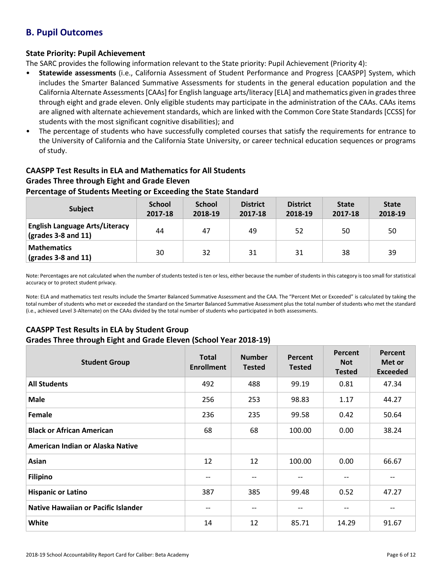## **B. Pupil Outcomes**

### **State Priority: Pupil Achievement**

The SARC provides the following information relevant to the State priority: Pupil Achievement (Priority 4):

- **Statewide assessments** (i.e., California Assessment of Student Performance and Progress [CAASPP] System, which includes the Smarter Balanced Summative Assessments for students in the general education population and the California Alternate Assessments [CAAs] for English language arts/literacy [ELA] and mathematics given in grades three through eight and grade eleven. Only eligible students may participate in the administration of the CAAs. CAAs items are aligned with alternate achievement standards, which are linked with the Common Core State Standards [CCSS] for students with the most significant cognitive disabilities); and
- The percentage of students who have successfully completed courses that satisfy the requirements for entrance to the University of California and the California State University, or career technical education sequences or programs of study.

## **CAASPP Test Results in ELA and Mathematics for All Students Grades Three through Eight and Grade Eleven**

### **Percentage of Students Meeting or Exceeding the State Standard**

| <b>Subject</b>                                                       | <b>School</b><br>2017-18 | <b>School</b><br>2018-19 | <b>District</b><br>2017-18 | <b>District</b><br>2018-19 | <b>State</b><br>2017-18 | <b>State</b><br>2018-19 |
|----------------------------------------------------------------------|--------------------------|--------------------------|----------------------------|----------------------------|-------------------------|-------------------------|
| <b>English Language Arts/Literacy</b><br>$\vert$ (grades 3-8 and 11) | 44                       | 47                       | 49                         | 52                         | 50                      | 50                      |
| <b>Mathematics</b><br>$\vert$ (grades 3-8 and 11)                    | 30                       | 32                       | 31                         | 31                         | 38                      | 39                      |

Note: Percentages are not calculated when the number of students tested is ten or less, either because the number of students in this category is too small for statistical accuracy or to protect student privacy.

Note: ELA and mathematics test results include the Smarter Balanced Summative Assessment and the CAA. The "Percent Met or Exceeded" is calculated by taking the total number of students who met or exceeded the standard on the Smarter Balanced Summative Assessment plus the total number of students who met the standard (i.e., achieved Level 3-Alternate) on the CAAs divided by the total number of students who participated in both assessments.

## **CAASPP Test Results in ELA by Student Group**

#### **Grades Three through Eight and Grade Eleven (School Year 2018-19)**

| <b>Student Group</b>                       | <b>Total</b><br><b>Enrollment</b> | <b>Number</b><br><b>Tested</b> | Percent<br><b>Tested</b> | Percent<br><b>Not</b><br><b>Tested</b> | Percent<br>Met or<br><b>Exceeded</b> |
|--------------------------------------------|-----------------------------------|--------------------------------|--------------------------|----------------------------------------|--------------------------------------|
| <b>All Students</b>                        | 492                               | 488                            | 99.19                    | 0.81                                   | 47.34                                |
| <b>Male</b>                                | 256                               | 253                            | 98.83                    | 1.17                                   | 44.27                                |
| Female                                     | 236                               | 235                            | 99.58                    | 0.42                                   | 50.64                                |
| <b>Black or African American</b>           | 68                                | 68                             | 100.00                   | 0.00                                   | 38.24                                |
| American Indian or Alaska Native           |                                   |                                |                          |                                        |                                      |
| Asian                                      | 12                                | 12                             | 100.00                   | 0.00                                   | 66.67                                |
| <b>Filipino</b>                            | --                                | --                             | --                       | --                                     | --                                   |
| <b>Hispanic or Latino</b>                  | 387                               | 385                            | 99.48                    | 0.52                                   | 47.27                                |
| <b>Native Hawaiian or Pacific Islander</b> | $- -$                             | --                             | --                       | --                                     |                                      |
| White                                      | 14                                | 12                             | 85.71                    | 14.29                                  | 91.67                                |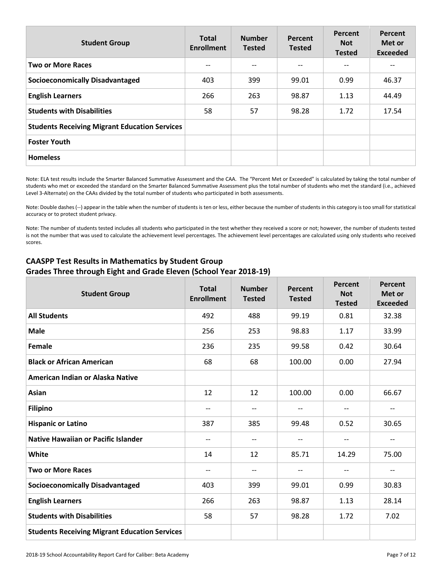| <b>Student Group</b>                                 | <b>Total</b><br><b>Enrollment</b> | <b>Number</b><br><b>Tested</b> | Percent<br><b>Tested</b> | Percent<br><b>Not</b><br><b>Tested</b> | Percent<br>Met or<br><b>Exceeded</b> |
|------------------------------------------------------|-----------------------------------|--------------------------------|--------------------------|----------------------------------------|--------------------------------------|
| <b>Two or More Races</b>                             | --                                |                                | $\qquad \qquad -$        | $-$                                    |                                      |
| <b>Socioeconomically Disadvantaged</b>               | 403                               | 399                            | 99.01                    | 0.99                                   | 46.37                                |
| <b>English Learners</b>                              | 266                               | 263                            | 98.87                    | 1.13                                   | 44.49                                |
| <b>Students with Disabilities</b>                    | 58                                | 57                             | 98.28                    | 1.72                                   | 17.54                                |
| <b>Students Receiving Migrant Education Services</b> |                                   |                                |                          |                                        |                                      |
| <b>Foster Youth</b>                                  |                                   |                                |                          |                                        |                                      |
| <b>Homeless</b>                                      |                                   |                                |                          |                                        |                                      |

Note: ELA test results include the Smarter Balanced Summative Assessment and the CAA. The "Percent Met or Exceeded" is calculated by taking the total number of students who met or exceeded the standard on the Smarter Balanced Summative Assessment plus the total number of students who met the standard (i.e., achieved Level 3-Alternate) on the CAAs divided by the total number of students who participated in both assessments.

Note: Double dashes (--) appear in the table when the number of students is ten or less, either because the number of students in this category is too small for statistical accuracy or to protect student privacy.

Note: The number of students tested includes all students who participated in the test whether they received a score or not; however, the number of students tested is not the number that was used to calculate the achievement level percentages. The achievement level percentages are calculated using only students who received scores.

| <b>Student Group</b>                                 | <b>Total</b><br><b>Enrollment</b> | <b>Number</b><br><b>Tested</b> | Percent<br><b>Tested</b> | Percent<br><b>Not</b><br><b>Tested</b> | Percent<br>Met or<br><b>Exceeded</b> |
|------------------------------------------------------|-----------------------------------|--------------------------------|--------------------------|----------------------------------------|--------------------------------------|
| <b>All Students</b>                                  | 492                               | 488                            | 99.19                    | 0.81                                   | 32.38                                |
| <b>Male</b>                                          | 256                               | 253                            | 98.83                    | 1.17                                   | 33.99                                |
| <b>Female</b>                                        | 236                               | 235                            | 99.58                    | 0.42                                   | 30.64                                |
| <b>Black or African American</b>                     | 68                                | 68                             | 100.00                   | 0.00                                   | 27.94                                |
| American Indian or Alaska Native                     |                                   |                                |                          |                                        |                                      |
| <b>Asian</b>                                         | 12                                | 12                             | 100.00                   | 0.00                                   | 66.67                                |
| <b>Filipino</b>                                      | $-$                               | $\qquad \qquad -$              | $\qquad \qquad -$        | $\overline{\phantom{a}}$               | $\overline{\phantom{m}}$             |
| <b>Hispanic or Latino</b>                            | 387                               | 385                            | 99.48                    | 0.52                                   | 30.65                                |
| <b>Native Hawaiian or Pacific Islander</b>           | $\qquad \qquad -$                 | $-$                            | $\qquad \qquad -$        | $\overline{\phantom{a}}$               | $- -$                                |
| White                                                | 14                                | 12                             | 85.71                    | 14.29                                  | 75.00                                |
| <b>Two or More Races</b>                             | $-$                               | $\overline{a}$                 | $\qquad \qquad -$        | $\overline{\phantom{a}}$               | $\hspace{0.05cm}$ $\hspace{0.05cm}$  |
| <b>Socioeconomically Disadvantaged</b>               | 403                               | 399                            | 99.01                    | 0.99                                   | 30.83                                |
| <b>English Learners</b>                              | 266                               | 263                            | 98.87                    | 1.13                                   | 28.14                                |
| <b>Students with Disabilities</b>                    | 58                                | 57                             | 98.28                    | 1.72                                   | 7.02                                 |
| <b>Students Receiving Migrant Education Services</b> |                                   |                                |                          |                                        |                                      |

### **CAASPP Test Results in Mathematics by Student Group Grades Three through Eight and Grade Eleven (School Year 2018-19)**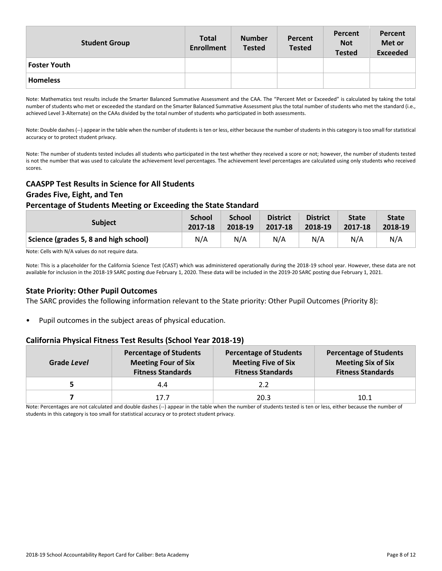| <b>Student Group</b> | <b>Total</b><br><b>Enrollment</b> | <b>Number</b><br><b>Tested</b> | Percent<br><b>Tested</b> | Percent<br><b>Not</b><br><b>Tested</b> | Percent<br>Met or<br><b>Exceeded</b> |
|----------------------|-----------------------------------|--------------------------------|--------------------------|----------------------------------------|--------------------------------------|
| <b>Foster Youth</b>  |                                   |                                |                          |                                        |                                      |
| <b>Homeless</b>      |                                   |                                |                          |                                        |                                      |

Note: Mathematics test results include the Smarter Balanced Summative Assessment and the CAA. The "Percent Met or Exceeded" is calculated by taking the total number of students who met or exceeded the standard on the Smarter Balanced Summative Assessment plus the total number of students who met the standard (i.e., achieved Level 3-Alternate) on the CAAs divided by the total number of students who participated in both assessments.

Note: Double dashes (--) appear in the table when the number of students is ten or less, either because the number of students in this category is too small for statistical accuracy or to protect student privacy.

Note: The number of students tested includes all students who participated in the test whether they received a score or not; however, the number of students tested is not the number that was used to calculate the achievement level percentages. The achievement level percentages are calculated using only students who received scores.

### **CAASPP Test Results in Science for All Students**

#### **Grades Five, Eight, and Ten**

#### **Percentage of Students Meeting or Exceeding the State Standard**

| <b>Subject</b>                        | <b>School</b> | <b>School</b> | <b>District</b> | <b>District</b> | <b>State</b> | <b>State</b> |
|---------------------------------------|---------------|---------------|-----------------|-----------------|--------------|--------------|
|                                       | 2017-18       | 2018-19       | 2017-18         | 2018-19         | 2017-18      | 2018-19      |
| Science (grades 5, 8 and high school) | N/A           | N/A           | N/A             | N/A             | N/A          | N/A          |

Note: Cells with N/A values do not require data.

Note: This is a placeholder for the California Science Test (CAST) which was administered operationally during the 2018-19 school year. However, these data are not available for inclusion in the 2018-19 SARC posting due February 1, 2020. These data will be included in the 2019-20 SARC posting due February 1, 2021.

#### **State Priority: Other Pupil Outcomes**

The SARC provides the following information relevant to the State priority: Other Pupil Outcomes (Priority 8):

• Pupil outcomes in the subject areas of physical education.

#### **California Physical Fitness Test Results (School Year 2018-19)**

| Grade Level | <b>Percentage of Students</b><br><b>Meeting Four of Six</b><br><b>Fitness Standards</b> | <b>Percentage of Students</b><br><b>Meeting Five of Six</b><br><b>Fitness Standards</b> | <b>Percentage of Students</b><br><b>Meeting Six of Six</b><br><b>Fitness Standards</b> |
|-------------|-----------------------------------------------------------------------------------------|-----------------------------------------------------------------------------------------|----------------------------------------------------------------------------------------|
|             | 4.4                                                                                     | 2.2                                                                                     |                                                                                        |
|             | 17.7                                                                                    | 20.3                                                                                    | 10.1                                                                                   |

Note: Percentages are not calculated and double dashes (--) appear in the table when the number of students tested is ten or less, either because the number of students in this category is too small for statistical accuracy or to protect student privacy.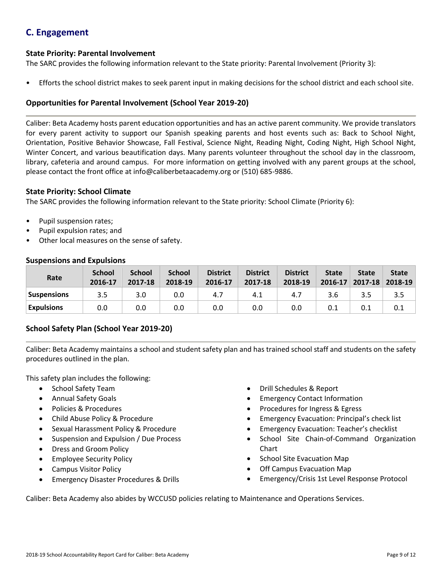## **C. Engagement**

### **State Priority: Parental Involvement**

The SARC provides the following information relevant to the State priority: Parental Involvement (Priority 3):

• Efforts the school district makes to seek parent input in making decisions for the school district and each school site.

### **Opportunities for Parental Involvement (School Year 2019-20)**

Caliber: Beta Academy hosts parent education opportunities and has an active parent community. We provide translators for every parent activity to support our Spanish speaking parents and host events such as: Back to School Night, Orientation, Positive Behavior Showcase, Fall Festival, Science Night, Reading Night, Coding Night, High School Night, Winter Concert, and various beautification days. Many parents volunteer throughout the school day in the classroom, library, cafeteria and around campus. For more information on getting involved with any parent groups at the school, please contact the front office at info@caliberbetaacademy.org or (510) 685-9886.

#### **State Priority: School Climate**

The SARC provides the following information relevant to the State priority: School Climate (Priority 6):

- Pupil suspension rates;
- Pupil expulsion rates; and
- Other local measures on the sense of safety.

| Rate               | <b>School</b><br>2016-17 | <b>School</b><br>2017-18 | <b>School</b><br>2018-19 | <b>District</b><br>2016-17 | <b>District</b><br>2017-18 | <b>District</b><br>2018-19 | <b>State</b><br>2016-17 | <b>State</b><br>$2017 - 18$ | <b>State</b><br>2018-19 |
|--------------------|--------------------------|--------------------------|--------------------------|----------------------------|----------------------------|----------------------------|-------------------------|-----------------------------|-------------------------|
| <b>Suspensions</b> | 3.5                      | 3.0                      | 0.0                      | 4.7                        | 4.1                        | 4.7                        | 3.6                     | 3.5                         | 3.5                     |
| <b>Expulsions</b>  | 0.0                      | 0.0                      | 0.0                      | 0.0                        | 0.0                        | 0.0                        | 0.1                     | 0.1                         | 0.1                     |

#### **Suspensions and Expulsions**

### **School Safety Plan (School Year 2019-20)**

Caliber: Beta Academy maintains a school and student safety plan and has trained school staff and students on the safety procedures outlined in the plan.

This safety plan includes the following:

- School Safety Team
- Annual Safety Goals
- Policies & Procedures
- Child Abuse Policy & Procedure
- Sexual Harassment Policy & Procedure
- Suspension and Expulsion / Due Process
- Dress and Groom Policy
- Employee Security Policy
- Campus Visitor Policy
- Emergency Disaster Procedures & Drills
- Drill Schedules & Report
- **Emergency Contact Information**
- Procedures for Ingress & Egress
- Emergency Evacuation: Principal's check list
- Emergency Evacuation: Teacher's checklist
- School Site Chain-of-Command Organization Chart
- School Site Evacuation Map
- Off Campus Evacuation Map
- Emergency/Crisis 1st Level Response Protocol

Caliber: Beta Academy also abides by WCCUSD policies relating to Maintenance and Operations Services.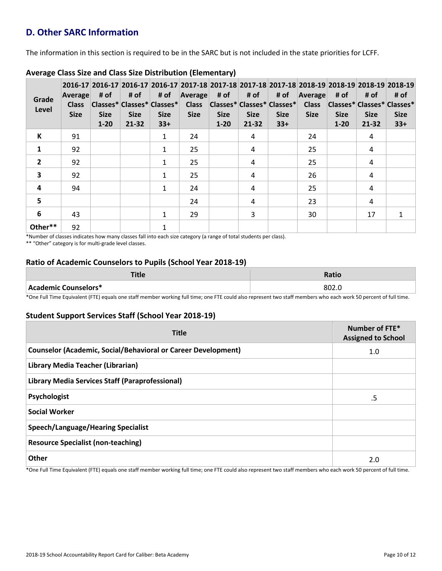## **D. Other SARC Information**

The information in this section is required to be in the SARC but is not included in the state priorities for LCFF.

| Grade<br>Level          | Average<br><b>Class</b><br><b>Size</b> | # of<br><b>Size</b><br>$1 - 20$ | # of<br><b>Size</b><br>21-32 | # of<br>Classes* Classes* Classes*<br><b>Size</b><br>$33+$ | Average<br><b>Class</b><br><b>Size</b> | # of<br><b>Size</b><br>$1 - 20$ | # of<br>$ Classes^* Classes^* Classes^* $<br><b>Size</b><br>21-32 | # of<br><b>Size</b><br>$33+$ | Average<br><b>Class</b><br><b>Size</b> | # of<br><b>Size</b><br>$1 - 20$ | # of<br><b>Size</b><br>21-32 | 2016-17 2016-17 2016-17 2016-17 2017-18 2017-18 2017-18 2017-18 2017-18 2018-19 2018-19 2018-19 2018-19<br># of<br> Classes* Classes* Classes*<br><b>Size</b><br>$33+$ |
|-------------------------|----------------------------------------|---------------------------------|------------------------------|------------------------------------------------------------|----------------------------------------|---------------------------------|-------------------------------------------------------------------|------------------------------|----------------------------------------|---------------------------------|------------------------------|------------------------------------------------------------------------------------------------------------------------------------------------------------------------|
| К                       | 91                                     |                                 |                              | 1                                                          | 24                                     |                                 | 4                                                                 |                              | 24                                     |                                 | 4                            |                                                                                                                                                                        |
| $\mathbf{1}$            | 92                                     |                                 |                              | 1                                                          | 25                                     |                                 | 4                                                                 |                              | 25                                     |                                 | 4                            |                                                                                                                                                                        |
| $\overline{2}$          | 92                                     |                                 |                              | 1                                                          | 25                                     |                                 | 4                                                                 |                              | 25                                     |                                 | 4                            |                                                                                                                                                                        |
| $\overline{\mathbf{3}}$ | 92                                     |                                 |                              | 1                                                          | 25                                     |                                 | 4                                                                 |                              | 26                                     |                                 | 4                            |                                                                                                                                                                        |
| 4                       | 94                                     |                                 |                              | $\mathbf{1}$                                               | 24                                     |                                 | 4                                                                 |                              | 25                                     |                                 | 4                            |                                                                                                                                                                        |
| 5                       |                                        |                                 |                              |                                                            | 24                                     |                                 | 4                                                                 |                              | 23                                     |                                 | 4                            |                                                                                                                                                                        |
| 6                       | 43                                     |                                 |                              | 1                                                          | 29                                     |                                 | 3                                                                 |                              | 30                                     |                                 | 17                           | $\mathbf{1}$                                                                                                                                                           |
| Other**                 | 92                                     |                                 |                              | 1                                                          |                                        |                                 |                                                                   |                              |                                        |                                 |                              |                                                                                                                                                                        |

### **Average Class Size and Class Size Distribution (Elementary)**

\*Number of classes indicates how many classes fall into each size category (a range of total students per class).

\*\* "Other" category is for multi-grade level classes.

### **Ratio of Academic Counselors to Pupils (School Year 2018-19)**

| т:.<br>''''          | Ratio  |
|----------------------|--------|
| Academic Counselors* | ـ 802. |

\*One Full Time Equivalent (FTE) equals one staff member working full time; one FTE could also represent two staff members who each work 50 percent of full time.

### **Student Support Services Staff (School Year 2018-19)**

| <b>Title</b>                                                         | Number of FTE*<br><b>Assigned to School</b> |
|----------------------------------------------------------------------|---------------------------------------------|
| <b>Counselor (Academic, Social/Behavioral or Career Development)</b> | 1.0                                         |
| Library Media Teacher (Librarian)                                    |                                             |
| Library Media Services Staff (Paraprofessional)                      |                                             |
| Psychologist                                                         | .5                                          |
| <b>Social Worker</b>                                                 |                                             |
| <b>Speech/Language/Hearing Specialist</b>                            |                                             |
| <b>Resource Specialist (non-teaching)</b>                            |                                             |
| <b>Other</b>                                                         | 2.0                                         |

\*One Full Time Equivalent (FTE) equals one staff member working full time; one FTE could also represent two staff members who each work 50 percent of full time.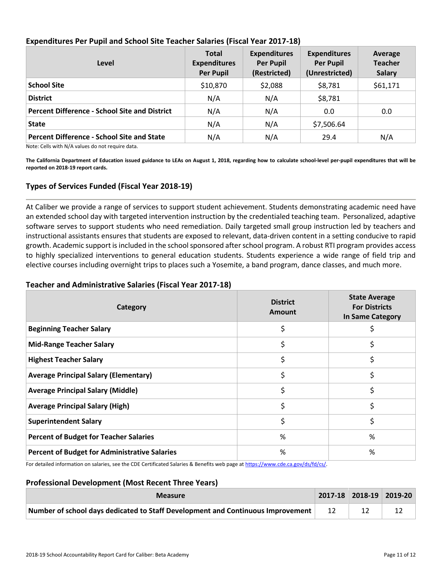| Level                                                                                                                                                                                                                                                                                 | <b>Total</b><br><b>Expenditures</b><br><b>Per Pupil</b> | <b>Expenditures</b><br><b>Per Pupil</b><br>(Restricted) | <b>Expenditures</b><br><b>Per Pupil</b><br>(Unrestricted) | Average<br><b>Teacher</b><br><b>Salary</b> |
|---------------------------------------------------------------------------------------------------------------------------------------------------------------------------------------------------------------------------------------------------------------------------------------|---------------------------------------------------------|---------------------------------------------------------|-----------------------------------------------------------|--------------------------------------------|
| <b>School Site</b>                                                                                                                                                                                                                                                                    | \$10,870                                                | \$2,088                                                 | \$8,781                                                   | \$61,171                                   |
| <b>District</b>                                                                                                                                                                                                                                                                       | N/A                                                     | N/A                                                     | \$8,781                                                   |                                            |
| <b>Percent Difference - School Site and District</b>                                                                                                                                                                                                                                  | N/A                                                     | N/A                                                     | 0.0                                                       | 0.0                                        |
| <b>State</b>                                                                                                                                                                                                                                                                          | N/A                                                     | N/A                                                     | \$7,506.64                                                |                                            |
| <b>Percent Difference - School Site and State</b><br>$\mathbf{a}$ , and the set of the set of the set of the set of the set of the set of the set of the set of the set of the set of the set of the set of the set of the set of the set of the set of the set of the set of the set | N/A                                                     | N/A                                                     | 29.4                                                      | N/A                                        |

### **Expenditures Per Pupil and School Site Teacher Salaries (Fiscal Year 2017-18)**

Note: Cells with N/A values do not require data.

**The California Department of Education issued guidance to LEAs on August 1, 2018, regarding how to calculate school-level per-pupil expenditures that will be reported on 2018-19 report cards.**

### **Types of Services Funded (Fiscal Year 2018-19)**

At Caliber we provide a range of services to support student achievement. Students demonstrating academic need have an extended school day with targeted intervention instruction by the credentialed teaching team. Personalized, adaptive software serves to support students who need remediation. Daily targeted small group instruction led by teachers and instructional assistants ensures that students are exposed to relevant, data-driven content in a setting conducive to rapid growth. Academic support is included in the school sponsored after school program. A robust RTI program provides access to highly specialized interventions to general education students. Students experience a wide range of field trip and elective courses including overnight trips to places such a Yosemite, a band program, dance classes, and much more.

### **Teacher and Administrative Salaries (Fiscal Year 2017-18)**

| Category                                             | <b>District</b><br><b>Amount</b> | <b>State Average</b><br><b>For Districts</b><br>In Same Category |
|------------------------------------------------------|----------------------------------|------------------------------------------------------------------|
| <b>Beginning Teacher Salary</b>                      |                                  |                                                                  |
| <b>Mid-Range Teacher Salary</b>                      | \$                               | \$                                                               |
| <b>Highest Teacher Salary</b>                        | \$                               | \$                                                               |
| <b>Average Principal Salary (Elementary)</b>         | \$                               | \$                                                               |
| <b>Average Principal Salary (Middle)</b>             | \$                               | \$                                                               |
| <b>Average Principal Salary (High)</b>               | \$                               | \$                                                               |
| <b>Superintendent Salary</b>                         | \$                               | \$                                                               |
| <b>Percent of Budget for Teacher Salaries</b>        | %                                | %                                                                |
| <b>Percent of Budget for Administrative Salaries</b> | %<br>.                           | %                                                                |

For detailed information on salaries, see the CDE Certificated Salaries & Benefits web page at https://www.cde.ca.gov/ds/fd/cs/.

#### **Professional Development (Most Recent Three Years)**

| <b>Measure</b>                                                                       |  | $ 2017-18 2018-19 2019-20 $ |
|--------------------------------------------------------------------------------------|--|-----------------------------|
| Number of school days dedicated to Staff Development and Continuous Improvement   12 |  |                             |